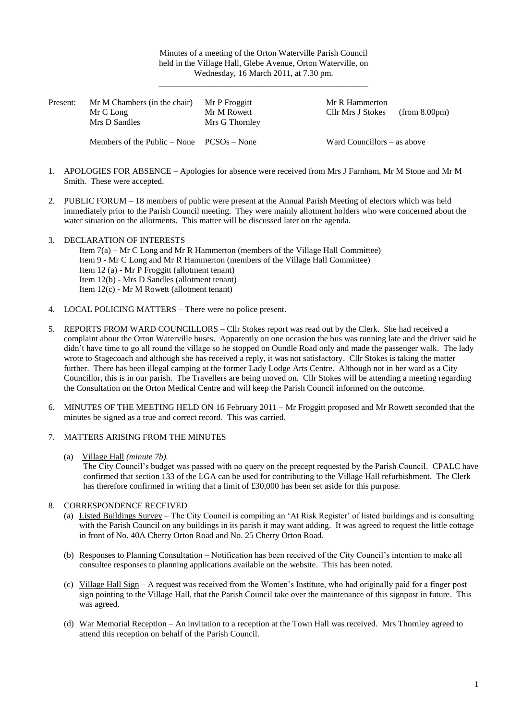Minutes of a meeting of the Orton Waterville Parish Council held in the Village Hall, Glebe Avenue, Orton Waterville, on Wednesday, 16 March 2011, at 7.30 pm.

\_\_\_\_\_\_\_\_\_\_\_\_\_\_\_\_\_\_\_\_\_\_\_\_\_\_\_\_\_\_\_\_\_\_\_\_\_\_\_\_\_\_\_\_\_\_\_\_\_

| Present: | Mr M Chambers (in the chair)                  | Mr P Froggitt  | Mr R Hammerton              |
|----------|-----------------------------------------------|----------------|-----------------------------|
|          | Mr C Long                                     | Mr M Rowett    | Cllr Mrs J Stokes           |
|          | Mrs D Sandles                                 | Mrs G Thornley | (from 8.00pm)               |
|          | Members of the Public $-$ None $PCSOs - None$ |                | Ward Councillors – as above |

- 1. APOLOGIES FOR ABSENCE Apologies for absence were received from Mrs J Farnham, Mr M Stone and Mr M Smith. These were accepted.
- 2. PUBLIC FORUM 18 members of public were present at the Annual Parish Meeting of electors which was held immediately prior to the Parish Council meeting. They were mainly allotment holders who were concerned about the water situation on the allotments. This matter will be discussed later on the agenda.
- 3. DECLARATION OF INTERESTS Item 7(a) – Mr C Long and Mr R Hammerton (members of the Village Hall Committee) Item 9 - Mr C Long and Mr R Hammerton (members of the Village Hall Committee) Item 12 (a) - Mr P Froggitt (allotment tenant) Item 12(b) *-* Mrs D Sandles (allotment tenant) Item 12(c) *-* Mr M Rowett (allotment tenant)
- 4. LOCAL POLICING MATTERS There were no police present.
- 5. REPORTS FROM WARD COUNCILLORS Cllr Stokes report was read out by the Clerk. She had received a complaint about the Orton Waterville buses. Apparently on one occasion the bus was running late and the driver said he didn't have time to go all round the village so he stopped on Oundle Road only and made the passenger walk. The lady wrote to Stagecoach and although she has received a reply, it was not satisfactory. Cllr Stokes is taking the matter further. There has been illegal camping at the former Lady Lodge Arts Centre. Although not in her ward as a City Councillor, this is in our parish. The Travellers are being moved on. Cllr Stokes will be attending a meeting regarding the Consultation on the Orton Medical Centre and will keep the Parish Council informed on the outcome.
- 6. MINUTES OF THE MEETING HELD ON 16 February 2011 Mr Froggitt proposed and Mr Rowett seconded that the minutes be signed as a true and correct record. This was carried.
- 7. MATTERS ARISING FROM THE MINUTES
	- (a) Village Hall *(minute 7b).*

The City Council's budget was passed with no query on the precept requested by the Parish Council. CPALC have confirmed that section 133 of the LGA can be used for contributing to the Village Hall refurbishment. The Clerk has therefore confirmed in writing that a limit of £30,000 has been set aside for this purpose.

- 8. CORRESPONDENCE RECEIVED
	- (a) Listed Buildings Survey The City Council is compiling an 'At Risk Register' of listed buildings and is consulting with the Parish Council on any buildings in its parish it may want adding. It was agreed to request the little cottage in front of No. 40A Cherry Orton Road and No. 25 Cherry Orton Road.
	- (b) Responses to Planning Consultation Notification has been received of the City Council's intention to make all consultee responses to planning applications available on the website. This has been noted.
	- (c) Village Hall Sign A request was received from the Women's Institute, who had originally paid for a finger post sign pointing to the Village Hall, that the Parish Council take over the maintenance of this signpost in future. This was agreed.
	- (d) War Memorial Reception An invitation to a reception at the Town Hall was received. Mrs Thornley agreed to attend this reception on behalf of the Parish Council.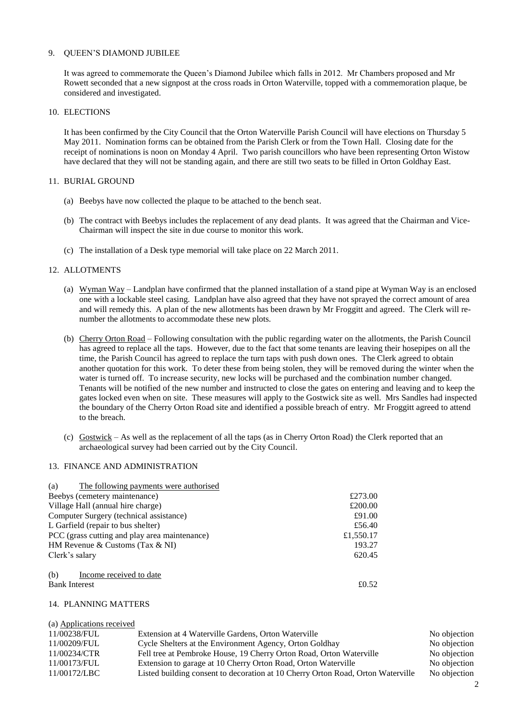## 9. QUEEN'S DIAMOND JUBILEE

It was agreed to commemorate the Queen's Diamond Jubilee which falls in 2012. Mr Chambers proposed and Mr Rowett seconded that a new signpost at the cross roads in Orton Waterville, topped with a commemoration plaque, be considered and investigated.

## 10. ELECTIONS

It has been confirmed by the City Council that the Orton Waterville Parish Council will have elections on Thursday 5 May 2011. Nomination forms can be obtained from the Parish Clerk or from the Town Hall. Closing date for the receipt of nominations is noon on Monday 4 April. Two parish councillors who have been representing Orton Wistow have declared that they will not be standing again, and there are still two seats to be filled in Orton Goldhay East.

## 11. BURIAL GROUND

- (a) Beebys have now collected the plaque to be attached to the bench seat.
- (b) The contract with Beebys includes the replacement of any dead plants. It was agreed that the Chairman and Vice-Chairman will inspect the site in due course to monitor this work.
- (c) The installation of a Desk type memorial will take place on 22 March 2011.

## 12. ALLOTMENTS

- (a) Wyman Way Landplan have confirmed that the planned installation of a stand pipe at Wyman Way is an enclosed one with a lockable steel casing. Landplan have also agreed that they have not sprayed the correct amount of area and will remedy this. A plan of the new allotments has been drawn by Mr Froggitt and agreed. The Clerk will renumber the allotments to accommodate these new plots.
- (b) Cherry Orton Road Following consultation with the public regarding water on the allotments, the Parish Council has agreed to replace all the taps. However, due to the fact that some tenants are leaving their hosepipes on all the time, the Parish Council has agreed to replace the turn taps with push down ones. The Clerk agreed to obtain another quotation for this work. To deter these from being stolen, they will be removed during the winter when the water is turned off. To increase security, new locks will be purchased and the combination number changed. Tenants will be notified of the new number and instructed to close the gates on entering and leaving and to keep the gates locked even when on site. These measures will apply to the Gostwick site as well. Mrs Sandles had inspected the boundary of the Cherry Orton Road site and identified a possible breach of entry. Mr Froggitt agreed to attend to the breach.
- (c) Gostwick As well as the replacement of all the taps (as in Cherry Orton Road) the Clerk reported that an archaeological survey had been carried out by the City Council.

## 13. FINANCE AND ADMINISTRATION

| The following payments were authorised<br>(a) |           |
|-----------------------------------------------|-----------|
| Beebys (cemetery maintenance)                 | £273.00   |
| Village Hall (annual hire charge)             | £200.00   |
| Computer Surgery (technical assistance)       | £91.00    |
| L Garfield (repair to bus shelter)            | £56.40    |
| PCC (grass cutting and play area maintenance) | £1,550.17 |
| HM Revenue & Customs (Tax $&$ NI)             | 193.27    |
| Clerk's salary                                | 620.45    |
| (b)<br>Income received to date                |           |
| <b>Bank Interest</b>                          | £0.52     |

## 14. PLANNING MATTERS

(a) Applications received 11/00238/FUL Extension at 4 Waterville Gardens, Orton Waterville No objection 11/00209/FUL Cycle Shelters at the Environment Agency, Orton Goldhay No objection 11/00234/CTR Fell tree at Pembroke House, 19 Cherry Orton Road, Orton Waterville No objection 11/00173/FUL Extension to garage at 10 Cherry Orton Road, Orton Waterville No objection 11/00172/LBC Listed building consent to decoration at 10 Cherry Orton Road, Orton Waterville No objection